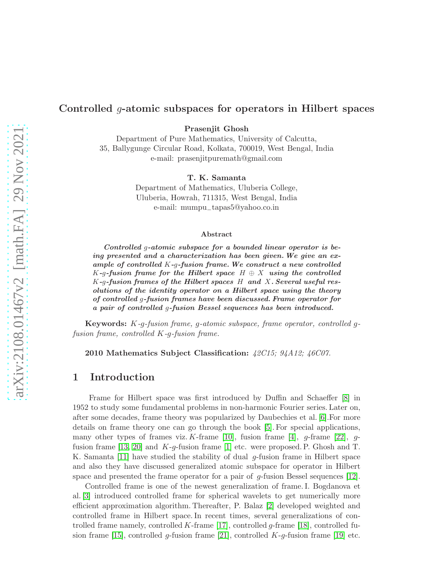#### Controlled g-atomic subspaces for operators in Hilbert spaces

Prasenjit Ghosh

Department of Pure Mathematics, University of Calcutta, 35, Ballygunge Circular Road, Kolkata, 700019, West Bengal, India e-mail: prasenjitpuremath@gmail.com

T. K. Samanta

Department of Mathematics, Uluberia College, Uluberia, Howrah, 711315, West Bengal, India e-mail: mumpu−tapas5@yahoo.co.in

#### Abstract

Controlled g-atomic subspace for a bounded linear operator is being presented and a characterization has been given.We give an example of controlled  $K-q$ -fusion frame. We construct a new controlled K-g-fusion frame for the Hilbert space  $H \oplus X$  using the controlled  $K$ -g-fusion frames of the Hilbert spaces  $H$  and  $X$ . Several useful resolutions of the identity operator on a Hilbert space using the theory of controlled g-fusion frames have been discussed. Frame operator for a pair of controlled g-fusion Bessel sequences has been introduced.

Keywords: K*-*g*-fusion frame,* g*-atomic subspace, frame operator, controlled* g*fusion frame, controlled* K*-*g*-fusion frame.*

2010 Mathematics Subject Classification: *42C15; 94A12; 46C07.*

#### 1 Introduction

Frame for Hilbert space was first introduced by Duffin and Schaeffer [\[8\]](#page-19-0) in 1952 to study some fundamental problems in non-harmonic Fourier series. Later on, after some decades, frame theory was popularized by Daubechies et al. [\[6\]](#page-19-1).For more details on frame theory one can go through the book [\[5\]](#page-19-2). For special applications, many other types of frames viz. K-frame [\[10\]](#page-19-3), fusion frame [\[4\]](#page-19-4), g-frame [\[22\]](#page-20-0), g-fusion frame [\[13,](#page-19-5) [20\]](#page-19-6) and  $K-q$ -fusion frame [\[1\]](#page-18-0) etc. were proposed. P. Ghosh and T. K. Samanta [\[11\]](#page-19-7) have studied the stability of dual g-fusion frame in Hilbert space and also they have discussed generalized atomic subspace for operator in Hilbert space and presented the frame operator for a pair of  $g$ -fusion Bessel sequences [\[12\]](#page-19-8).

Controlled frame is one of the newest generalization of frame. I. Bogdanova et al. [\[3\]](#page-18-1) introduced controlled frame for spherical wavelets to get numerically more efficient approximation algorithm. Thereafter, P. Balaz [\[2\]](#page-18-2) developed weighted and controlled frame in Hilbert space. In recent times, several generalizations of controlled frame namely, controlled K-frame  $[17]$ , controlled g-frame  $[18]$ , controlled fu-sion frame [\[15\]](#page-19-11), controlled g-fusion frame [\[21\]](#page-20-1), controlled  $K$ -g-fusion frame [\[19\]](#page-19-12) etc.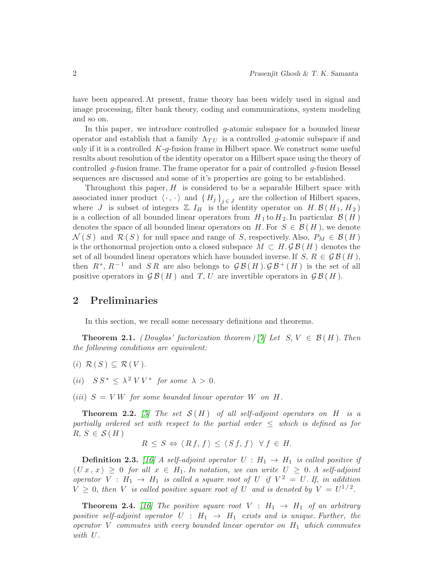have been appeared. At present, frame theory has been widely used in signal and image processing, filter bank theory, coding and communications, system modeling and so on.

In this paper, we introduce controlled  $g$ -atomic subspace for a bounded linear operator and establish that a family  $\Lambda_{TU}$  is a controlled g-atomic subspace if and only if it is a controlled  $K-q$ -fusion frame in Hilbert space. We construct some useful results about resolution of the identity operator on a Hilbert space using the theory of controlled  $q$ -fusion frame. The frame operator for a pair of controlled  $q$ -fusion Bessel sequences are discussed and some of it's properties are going to be established.

Throughout this paper,  $H$  is considered to be a separable Hilbert space with associated inner product  $\langle \cdot , \cdot \rangle$  and  $\{ H_j \}_{j \in J}$  are the collection of Hilbert spaces, where J is subset of integers  $\mathbb{Z}$ .  $I_H$  is the identity operator on  $H$ .  $\mathcal{B}(H_1, H_2)$ is a collection of all bounded linear operators from  $H_1$  to  $H_2$ . In particular  $\mathcal{B}(H)$ denotes the space of all bounded linear operators on H. For  $S \in \mathcal{B}(H)$ , we denote  $\mathcal{N}(S)$  and  $\mathcal{R}(S)$  for null space and range of S, respectively. Also,  $P_M \in \mathcal{B}(H)$ is the orthonormal projection onto a closed subspace  $M \subset H$ .  $\mathcal{G}\mathcal{B}(H)$  denotes the set of all bounded linear operators which have bounded inverse. If  $S, R \in \mathcal{GB}(H)$ , then  $R^*, R^{-1}$  and  $SR$  are also belongs to  $GB(H), GB^+(H)$  is the set of all positive operators in  $\mathcal{G}\mathcal{B}(H)$  and T, U are invertible operators in  $\mathcal{G}\mathcal{B}(H)$ .

### 2 Preliminaries

In this section, we recall some necessary definitions and theorems.

<span id="page-1-0"></span>**Theorem 2.1.** *(Douglas' factorization theorem )* [\[7\]](#page-19-13) Let  $S, V \in \mathcal{B}(H)$ . Then *the following conditions are equivalent:*

- $(i)$   $\mathcal{R}(S) \subseteq \mathcal{R}(V)$ .
- (*ii*)  $SS^* \leq \lambda^2 \, VV^*$  for some  $\lambda > 0$ .

(*iii*)  $S = VW$  *for some bounded linear operator* W *on* H.

**Theorem 2.2.** [\[5\]](#page-19-2) The set  $S(H)$  of all self-adjoint operators on H is a *partially ordered set with respect to the partial order* ≤ *which is defined as for*  $R, S \in \mathcal{S}(H)$ 

$$
R \leq S \Leftrightarrow \langle Rf, f \rangle \leq \langle Sf, f \rangle \ \forall f \in H.
$$

**Definition 2.3.** [\[16\]](#page-19-14) A self-adjoint operator  $U : H_1 \rightarrow H_1$  is called positive if  $\langle U x , x \rangle \geq 0$  *for all*  $x \in H_1$ *. In notation, we can write*  $U \geq 0$ *. A self-adjoint operator*  $V : H_1 \to H_1$  *is called a square root of*  $U$  *if*  $V^2 = U$ *. If, in addition*  $V \geq 0$ , then V is called positive square root of U and is denoted by  $V = U^{1/2}$ .

**Theorem 2.4.** [\[16\]](#page-19-14) The positive square root  $V : H_1 \rightarrow H_1$  of an arbitrary *positive self-adjoint operator*  $U : H_1 \rightarrow H_1$  *exists and is unique. Further, the operator* V *commutes with every bounded linear operator on* H1 *which commutes with* U*.*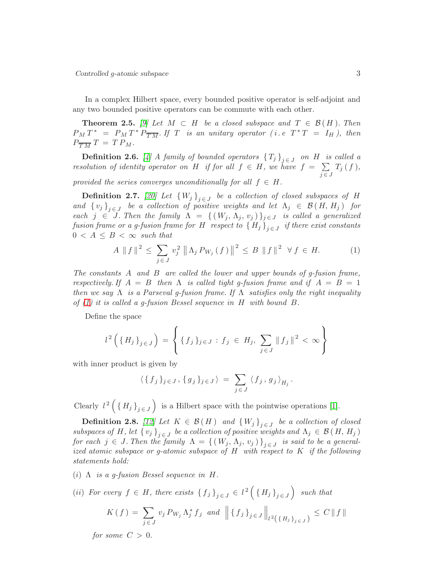In a complex Hilbert space, every bounded positive operator is self-adjoint and any two bounded positive operators can be commute with each other.

<span id="page-2-1"></span>**Theorem 2.5.** *[\[9\]](#page-19-15)* Let  $M \subset H$  be a closed subspace and  $T \in \mathcal{B}(H)$ . Then  $P_M T^* = P_M T^* P_{\overline{TM}}$ . If T *is an unitary operator (i.e.*  $T^* T = I_H$ ), then  $P_{\overline{TM}} T = T P_M.$ 

**Definition 2.6.** [\[4\]](#page-19-4) *A* family of bounded operators  $\{T_j\}_{j \in J}$  on  $H$  is called a *resolution of identity operator on*  $H$  *if for all*  $f \in H$ *, we have*  $f = \sum_{i=1}^{n}$  $j \in J$  $T_j$   $(f$   $),$ *provided the series converges unconditionally for all*  $f \in H$ .

**Definition 2.7.** [\[20\]](#page-19-6) Let  $\{W_j\}_{j \in J}$  be a collection of closed subspaces of H *and*  $\{v_j\}_{j\in J}$  *be a collection of positive weights and let*  $\Lambda_j \in \mathcal{B}(H, H_j)$  *for each*  $j \in J$ . Then the family  $\Lambda = \{ (W_j, \Lambda_j, v_j) \}_{j \in J}$  is called a generalized  $fusion\ frame\ or\ a\ g\hbox{-}fusion\ frame\ for\ H\ \ respect\ to\ \Set{H_j}_{j\in J}\ \ if\ there\ exist\ constants$  $0 < A \leq B < \infty$  *such that* 

<span id="page-2-0"></span>
$$
A \| f \|^{2} \leq \sum_{j \in J} v_{j}^{2} \| \Lambda_{j} P_{W_{j}}(f) \|^{2} \leq B \| f \|^{2} \ \forall f \in H. \tag{1}
$$

*The constants* A *and* B *are called the lower and upper bounds of g-fusion frame, respectively. If*  $A = B$  *then*  $\Lambda$  *is called tight g-fusion frame and if*  $A = B = 1$ *then we say* Λ *is a Parseval g-fusion frame. If* Λ *satisfies only the right inequality of [\(1\)](#page-2-0) it is called a g-fusion Bessel sequence in* H *with bound* B*.*

Define the space

$$
l^{2} \left( \{ H_{j} \}_{j \in J} \right) = \left\{ \{ f_{j} \}_{j \in J} : f_{j} \in H_{j}, \sum_{j \in J} \| f_{j} \|^{2} < \infty \right\}
$$

with inner product is given by

$$
\langle \{ f_j \}_{j \in J}, \{ g_j \}_{j \in J} \rangle = \sum_{j \in J} \langle f_j, g_j \rangle_{H_j}.
$$

Clearly  $l^2\left(\lbrace H_j \rbrace_{j\in J}\right)$  is a Hilbert space with the pointwise operations [\[1\]](#page-18-0).

**Definition 2.8.** *[\[12\]](#page-19-8)* Let  $K \in \mathcal{B}(H)$  and  ${W_j}_{j \in J}$  be a collection of closed *subspaces of* H, let  $\{v_j\}_{j \in J}$  be a collection of positive weights and  $\Lambda_j \in \mathcal{B}(H, H_j)$ *for each*  $j \in J$ . Then the family  $\Lambda = \{ (W_j, \Lambda_j, v_j) \}_{j \in J}$  is said to be a general*ized atomic subspace or g-atomic subspace of* H *with respect to* K *if the following statements hold:*

- (i) Λ *is a g-fusion Bessel sequence in* H*.*
- (*ii*) *For every*  $f \in H$ , there exists  ${f_j}_{j \in J} \in l^2({H_j}_{j \in J})$  such that

$$
K(f) = \sum_{j \in J} v_j P_{W_j} \Lambda_j^* f_j \text{ and } \left\| \{f_j\}_{j \in J} \right\|_{l^2(\{H_j\}_{j \in J})} \leq C \|f\|
$$

*for some*  $C > 0$ *.*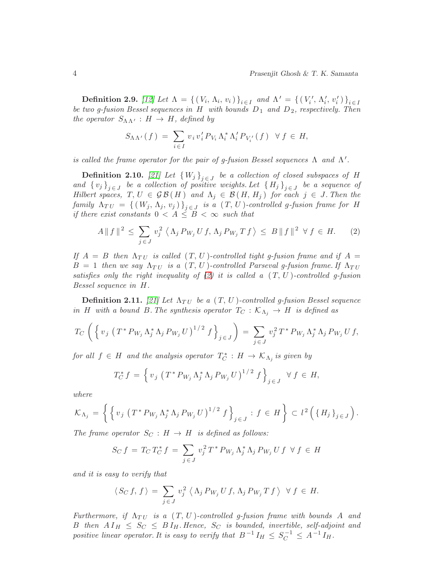**Definition 2.9.** [\[12\]](#page-19-8) Let  $\Lambda = \{ (V_i, \Lambda_i, v_i) \}_{i \in I}$  and  $\Lambda' = \{ (V'_i, \Lambda'_i, v'_i) \}_{i \in I}$ *be two g-fusion Bessel sequences in* H *with bounds* D1 *and* D2*, respectively. Then the operator*  $S_{\Lambda\Lambda'}$  :  $H \to H$ *, defined by* 

$$
S_{\Lambda\Lambda'}(f) = \sum_{i\in I} v_i v_i' P_{V_i} \Lambda_i^* \Lambda_i' P_{V_i'}(f) \quad \forall f \in H,
$$

*is called the frame operator for the pair of g-fusion Bessel sequences*  $\Lambda$  *and*  $\Lambda'$ *.* 

**Definition 2.10.** [\[21\]](#page-20-1) Let  ${W_j}_{j \in J}$  be a collection of closed subspaces of H and  $\{v_j\}_{j\in J}$  be a collection of positive weights. Let  $\{H_j\}_{j\in J}$  be a sequence of *Hilbert spaces,*  $T, U \in \mathcal{GB}(H)$  and  $\Lambda_j \in \mathcal{B}(H, H_j)$  for each  $j \in J$ . Then the  $family \ \Delta_{TU} = \{ (W_j, \Delta_j, v_j) \}_{j \in J} \ \ is \ a \ (T, U)$ *-controlled g-fusion frame for* H *if there exist constants*  $0 < A \leq B < \infty$  *such that* 

<span id="page-3-0"></span>
$$
A \| f \|^2 \le \sum_{j \in J} v_j^2 \left\langle \Lambda_j P_{W_j} U f, \Lambda_j P_{W_j} T f \right\rangle \le B \| f \|^2 \ \forall f \in H. \tag{2}
$$

*If*  $A = B$  *then*  $\Lambda_{TU}$  *is called*  $(T, U)$ *-controlled tight g-fusion frame and if*  $A =$  $B = 1$  then we say  $\Lambda_{TU}$  is a  $(T, U)$ -controlled Parseval g-fusion frame. If  $\Lambda_{TU}$ *satisfies only the right inequality of [\(2\)](#page-3-0) it is called a* ( T, U )*-controlled g-fusion Bessel sequence in* H*.*

**Definition 2.11.** [\[21\]](#page-20-1) Let  $\Lambda_{TU}$  be a  $(T, U)$ -controlled g-fusion Bessel sequence *in* H with a bound B. The synthesis operator  $T_C : \mathcal{K}_{\Lambda_i} \to H$  is defined as

$$
T_C \left( \left\{ v_j \left( T^* P_{W_j} \Lambda_j^* \Lambda_j P_{W_j} U \right)^{1/2} f \right\}_{j \in J} \right) = \sum_{j \in J} v_j^2 T^* P_{W_j} \Lambda_j^* \Lambda_j P_{W_j} U f,
$$

 $for \ all \ f \in H \ and \ the \ analysis \ operator \ T_C^* : H \to \mathcal{K}_{\Lambda_j}$  is given by

$$
T_C^* f = \left\{ v_j \left( T^* P_{W_j} \Lambda_j^* \Lambda_j P_{W_j} U \right)^{1/2} f \right\}_{j \in J} \ \forall \ f \in H,
$$

*where*

$$
\mathcal{K}_{\Lambda_j} = \left\{ \left\{ v_j \left( T^* P_{W_j} \Lambda_j^* \Lambda_j P_{W_j} U \right)^{1/2} f \right\}_{j \in J} : f \in H \right\} \subset l^2 \left( \left\{ H_j \right\}_{j \in J} \right).
$$

*The frame operator*  $S_C : H \to H$  *is defined as follows:* 

$$
S_C f = T_C T_C^* f = \sum_{j \in J} v_j^2 T^* P_{W_j} \Lambda_j^* \Lambda_j P_{W_j} U f \forall f \in H
$$

*and it is easy to verify that*

$$
\langle S_C f, f \rangle = \sum_{j \in J} v_j^2 \langle \Lambda_j P_{W_j} U f, \Lambda_j P_{W_j} T f \rangle \ \forall f \in H.
$$

*Furthermore, if*  $\Lambda_{TU}$  *is a*  $(T, U)$ *-controlled q-fusion frame with bounds* A *and* B then  $A I_H \leq S_C \leq B I_H$ . Hence,  $S_C$  is bounded, invertible, self-adjoint and *positive linear operator. It is easy to verify that*  $B^{-1}I_H \leq S_C^{-1} \leq A^{-1}I_H$ .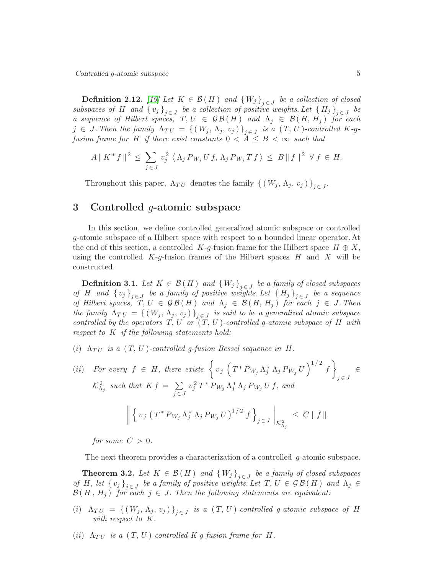Controlled g-atomic subspace 5

**Definition 2.12.** *[\[19\]](#page-19-12)* Let  $K \in \mathcal{B}(H)$  and  ${W_j}_{j \in J}$  be a collection of closed *subspaces of* H and  $\{v_j\}_{j \in J}$  be a collection of positive weights. Let  $\{H_j\}_{j \in J}$  be *a sequence of Hilbert spaces,*  $T, U \in \mathcal{GB}(H)$  *and*  $\Lambda_j \in \mathcal{B}(H, H_j)$  *for each*  $j \in J$ . Then the family  $\Lambda_{TU} = \{ (W_j, \Lambda_j, v_j) \}_{j \in J}$  is a  $(T, U)$ -controlled K-g*fusion frame for* H *if there exist constants*  $0 < A \leq B < \infty$  *such that* 

$$
A \| K^* f \|^2 \leq \sum_{j \in J} v_j^2 \left\langle \Lambda_j P_{W_j} U f, \Lambda_j P_{W_j} T f \right\rangle \leq B \| f \|^2 \ \forall f \in H.
$$

Throughout this paper,  $\Lambda_{TU}$  denotes the family  $\{ (W_j, \Lambda_j, v_j) \}_{j \in J}$ .

### 3 Controlled  $q$ -atomic subspace

In this section, we define controlled generalized atomic subspace or controlled g-atomic subspace of a Hilbert space with respect to a bounded linear operator. At the end of this section, a controlled K-g-fusion frame for the Hilbert space  $H \oplus X$ , using the controlled  $K-g$ -fusion frames of the Hilbert spaces H and X will be constructed.

<span id="page-4-0"></span>**Definition 3.1.** *Let*  $K \in \mathcal{B}(H)$  and  ${W_j}_{j \in J}$  be a family of closed subspaces *of* H and  $\{v_j\}_{j \in J}$  be a family of positive weights. Let  $\{H_j\}_{j \in J}$  be a sequence *of Hilbert spaces,*  $T, U \in \mathcal{GB}(H)$  *and*  $\Lambda_j \in \mathcal{B}(H, H_j)$  *for each*  $j \in J$ *. Then the family*  $\Lambda_{TU} = \{ (W_j, \Lambda_j, v_j) \}_{j \in J}$  *is said to be a generalized atomic subspace controlled by the operators*  $T, U \text{ or } (T, U)$ *-controlled g-atomic subspace of*  $H$  *with respect to* K *if the following statements hold:*

(i)  $\Lambda_{TI}$  is a  $(T, U)$ -controlled g-fusion Bessel sequence in H.

(ii) For every 
$$
f \in H
$$
, there exists  $\left\{ v_j \left( T^* P_{W_j} \Lambda_j^* \Lambda_j P_{W_j} U \right)^{1/2} f \right\}_{j \in J} \in$   
 $\mathcal{K}_{\Lambda_j}^2$  such that  $K f = \sum_{j \in J} v_j^2 T^* P_{W_j} \Lambda_j^* \Lambda_j P_{W_j} U f$ , and  

$$
\left\| \left\{ v_j \left( T^* P_{W_j} \Lambda_j^* \Lambda_j P_{W_j} U \right)^{1/2} f \right\}_{j \in J} \right\|_{\mathcal{K}_{\Lambda_j}^2} \leq C \| f \|
$$

*for some*  $C > 0$ *.* 

The next theorem provides a characterization of a controlled g-atomic subspace.

<span id="page-4-1"></span>**Theorem 3.2.** *Let*  $K \in \mathcal{B}(H)$  and  $\{W_j\}_{j \in J}$  be a family of closed subspaces *of* H, let  $\{v_j\}_{j \in J}$  be a family of positive weights. Let  $T, U \in \mathcal{GB}(H)$  and  $\Lambda_j \in$  $\mathcal{B}(H, H_j)$  *for each*  $j \in J$ . Then the following statements are equivalent:

- (*i*)  $\Lambda_{TU} = \{ (W_j, \Lambda_j, v_j) \}_{j \in J}$  *is a*  $(T, U)$ *-controlled g-atomic subspace of* H *with respect to* K*.*
- (*ii*)  $\Lambda_{TU}$  *is a*  $(T, U)$ *-controlled K-g-fusion frame for* H.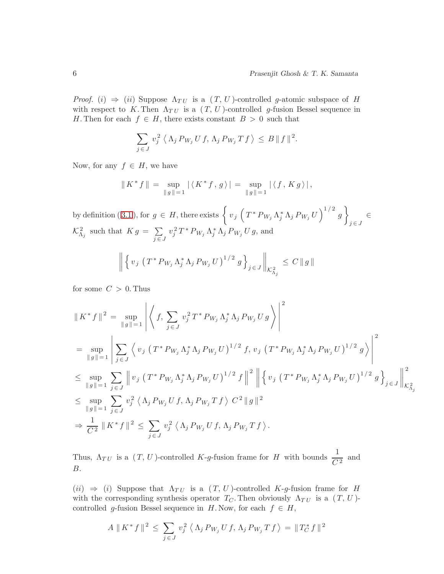*Proof.* (i)  $\Rightarrow$  (ii) Suppose  $\Lambda_{TU}$  is a  $(T, U)$ -controlled g-atomic subspace of H with respect to K. Then  $\Lambda_{TU}$  is a  $(T, U)$ -controlled g-fusion Bessel sequence in H. Then for each  $f \in H$ , there exists constant  $B > 0$  such that

$$
\sum_{j\in J} v_j^2 \langle \Lambda_j P_{W_j} U f, \Lambda_j P_{W_j} T f \rangle \leq B \|f\|^2.
$$

Now, for any  $f \in H$ , we have

$$
|| K^* f || = \sup_{||g||=1} | \langle K^* f, g \rangle | = \sup_{||g||=1} | \langle f, K g \rangle |,
$$

bydefinition (3.1), for  $g \in H$ , there exists  $\left\{ v_j \left( T^* P_{W_j} \Lambda_j^* \Lambda_j P_{W_j} U \right)^{1/2} g \right\}$  $\in$   $\in$  $\mathcal{K}_{\Lambda_j}^2$  such that  $K g = \sum_{i=1}^n$  $j \in J$  $v_j^2 T^* P_{W_j} \Lambda_j^* \Lambda_j P_{W_j} U g$ , and

$$
\left\| \left\{ v_j \left( T^* P_{W_j} \Lambda_j^* \Lambda_j P_{W_j} U \right)^{1/2} g \right\}_{j \in J} \right\|_{\mathcal{K}_{\Lambda_j}^2} \leq C \| g \|
$$

for some  $C > 0$ . Thus

$$
\|K^* f\|^2 = \sup_{\|g\|=1} \left| \left\langle f, \sum_{j\in J} v_j^2 T^* P_{W_j} \Lambda_j^* \Lambda_j P_{W_j} U g \right\rangle \right|^2
$$
  
\n
$$
= \sup_{\|g\|=1} \left| \sum_{j\in J} \left\langle v_j (T^* P_{W_j} \Lambda_j^* \Lambda_j P_{W_j} U)^{1/2} f, v_j (T^* P_{W_j} \Lambda_j^* \Lambda_j P_{W_j} U)^{1/2} g \right\rangle \right|^2
$$
  
\n
$$
\leq \sup_{\|g\|=1} \sum_{j\in J} \left| v_j (T^* P_{W_j} \Lambda_j^* \Lambda_j P_{W_j} U)^{1/2} f \right\|^2 \left| \left\{ v_j (T^* P_{W_j} \Lambda_j^* \Lambda_j P_{W_j} U)^{1/2} g \right\}_{j\in J} \right\|_{\mathcal{K}^2_{\Lambda_j}}^2
$$
  
\n
$$
\leq \sup_{\|g\|=1} \sum_{j\in J} v_j^2 \left\langle \Lambda_j P_{W_j} U f, \Lambda_j P_{W_j} T f \right\rangle C^2 \|g\|^2
$$
  
\n
$$
\Rightarrow \frac{1}{C^2} \|K^* f\|^2 \leq \sum_{j\in J} v_j^2 \left\langle \Lambda_j P_{W_j} U f, \Lambda_j P_{W_j} T f \right\rangle.
$$

Thus,  $\Lambda_{TU}$  is a  $(T, U)$ -controlled K-g-fusion frame for H with bounds  $\frac{1}{C^2}$  and B.

 $(ii) \Rightarrow (i)$  Suppose that  $\Lambda_{TU}$  is a  $(T, U)$ -controlled K-g-fusion frame for H with the corresponding synthesis operator  $T_C$ . Then obviously  $\Lambda_{TU}$  is a  $(T, U)$ controlled g-fusion Bessel sequence in H. Now, for each  $f \in H$ ,

$$
A \parallel K^* f \parallel^2 \leq \sum_{j \in J} v_j^2 \langle \Lambda_j P_{W_j} U f, \Lambda_j P_{W_j} T f \rangle = \|T_C^* f\|^2
$$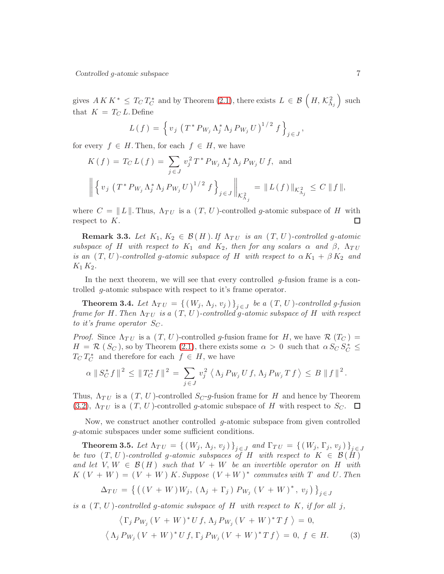gives  $A K K^* \leq T_C T_C^*$  and by Theorem [\(2.1\)](#page-1-0), there exists  $L \in \mathcal{B}\left(H, \mathcal{K}_{\Lambda_j}^2\right)$  such that  $K = T_C L$ . Define

$$
L(f) = \left\{ v_j \left( T^* P_{W_j} \Lambda_j^* \Lambda_j P_{W_j} U \right)^{1/2} f \right\}_{j \in J},
$$

for every  $f \in H$ . Then, for each  $f \in H$ , we have

$$
K(f) = T_C L(f) = \sum_{j \in J} v_j^2 T^* P_{W_j} \Lambda_j^* \Lambda_j P_{W_j} U f, \text{ and}
$$
  

$$
\left\| \left\{ v_j \left( T^* P_{W_j} \Lambda_j^* \Lambda_j P_{W_j} U \right)^{1/2} f \right\}_{j \in J} \right\|_{\mathcal{K}_{\Lambda_j}^2} = \| L(f) \|_{\mathcal{K}_{\Lambda_j}^2} \le C \| f \|,
$$

where  $C = ||L||$ . Thus,  $\Lambda_{TU}$  is a  $(T, U)$ -controlled g-atomic subspace of H with respect to K. respect to  $K$ .

**Remark 3.3.** Let  $K_1, K_2 \in \mathcal{B}(H)$ . If  $\Lambda_{TU}$  is an  $(T, U)$ -controlled g-atomic *subspace of* H *with respect to*  $K_1$  *and*  $K_2$ *, then for any scalars*  $\alpha$  *and*  $\beta$ *,*  $\Lambda_{TU}$ *is an*  $(T, U)$ *-controlled* g-atomic subspace of H with respect to  $\alpha K_1 + \beta K_2$  and  $K_1 K_2$ .

In the next theorem, we will see that every controlled  $q$ -fusion frame is a controlled g-atomic subspace with respect to it's frame operator.

**Theorem 3.4.** Let  $\Lambda_{TU} = \{ (W_j, \Lambda_j, v_j) \}_{j \in J}$  be a  $(T, U)$ -controlled g-fusion *frame for* H. Then  $\Lambda_{TU}$  *is a*  $(T, U)$ -controlled g-atomic subspace of H with respect *to it's frame operator*  $S_C$ .

*Proof.* Since  $\Lambda_{TU}$  is a  $(T, U)$ -controlled g-fusion frame for H, we have  $\mathcal{R}(T_C)$  =  $H = \mathcal{R} (S_C)$ , so by Theorem [\(2.1\)](#page-1-0), there exists some  $\alpha > 0$  such that  $\alpha S_C S_C^* \leq$  $T_C T_C^*$  and therefore for each  $f \in H$ , we have

$$
\alpha \|\, S_C^* f\,\|^{\,2} \,\leq\, \|\, T_C^* f\,\|^{\,2} \,=\, \sum_{j \,\in\, J} \,v_j^{\,2} \,\,\big\langle\,\Lambda_j\, P_{\,W_j}\,U\,f,\,\Lambda_j\,P_{\,W_j}\,T\,f\,\big\rangle \,\leq\, B\,\,\|\,f\,\|^{\,2}\,.
$$

Thus,  $\Lambda_{TU}$  is a  $(T, U)$ -controlled  $S_C$ -g-fusion frame for H and hence by Theorem [\(3.2\)](#page-4-1),  $\Lambda_{TU}$  is a  $(T, U)$ -controlled g-atomic subspace of H with respect to  $S_C$ .  $\Box$ 

Now, we construct another controlled  $g$ -atomic subspace from given controlled g-atomic subspaces under some sufficient conditions.

**Theorem 3.5.** Let  $\Lambda_{TU} = \{ (W_j, \Lambda_j, v_j) \}_{j \in J}$  and  $\Gamma_{TU} = \{ (W_j, \Gamma_j, v_j) \}_{j \in J}$ *be two*  $(T, U)$ *-controlled* g-atomic subspaces of H with respect to  $K \in \mathcal{B}(\check{H})$ *and let*  $V, W \in \mathcal{B}(H)$  *such that*  $V + W$  *be an invertible operator on* H *with*  $K(V+W) = (V+W)K$ . Suppose  $(V+W)^*$  commutes with T and U. Then

$$
\Delta_{TU} = \left\{ \left( \left( V + W \right) W_j, \left( \Lambda_j + \Gamma_j \right) P_{W_j} \left( V + W \right)^*, v_j \right) \right\}_{j \in J}
$$

*is a*  $(T, U)$ *-controlled* g-atomic subspace of H with respect to K, if for all j,

$$
\langle \Gamma_j P_{W_j} (V + W)^* U f, \Lambda_j P_{W_j} (V + W)^* T f \rangle = 0,
$$
  

$$
\langle \Lambda_j P_{W_j} (V + W)^* U f, \Gamma_j P_{W_j} (V + W)^* T f \rangle = 0, f \in H.
$$
 (3)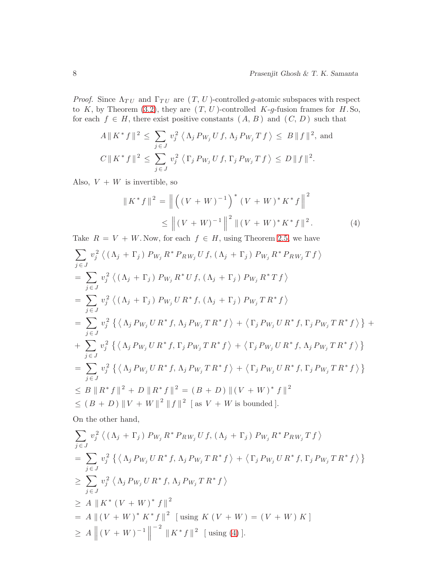*Proof.* Since  $\Lambda_{TU}$  and  $\Gamma_{TU}$  are  $(T, U)$ -controlled g-atomic subspaces with respect to K, by Theorem [\(3.2\)](#page-4-1), they are  $(T, U)$ -controlled K-g-fusion frames for H.So, for each  $f \in H$ , there exist positive constants  $(A, B)$  and  $(C, D)$  such that

$$
A \parallel K^* f \parallel^2 \leq \sum_{j \in J} v_j^2 \langle \Lambda_j P_{W_j} U f, \Lambda_j P_{W_j} T f \rangle \leq B \parallel f \parallel^2, \text{ and}
$$
  

$$
C \parallel K^* f \parallel^2 \leq \sum_{j \in J} v_j^2 \langle \Gamma_j P_{W_j} U f, \Gamma_j P_{W_j} T f \rangle \leq D \parallel f \parallel^2.
$$

Also,  $V + W$  is invertible, so

<span id="page-7-0"></span>
$$
||K^* f||^2 = ||((V + W)^{-1})^* (V + W)^* K^* f||^2
$$
  
\n
$$
\leq ||(V + W)^{-1}||^2 ||(V + W)^* K^* f||^2.
$$
 (4)

Take  $R = V + W$ . Now, for each  $f \in H$ , using Theorem [2.5,](#page-2-1) we have

$$
\sum_{j \in J} v_j^2 \langle (\Lambda_j + \Gamma_j) P_{W_j} R^* P_{RW_j} U f, (\Lambda_j + \Gamma_j) P_{W_j} R^* P_{RW_j} T f \rangle
$$
  
\n
$$
= \sum_{j \in J} v_j^2 \langle (\Lambda_j + \Gamma_j) P_{W_j} R^* U f, (\Lambda_j + \Gamma_j) P_{W_j} R^* T f \rangle
$$
  
\n
$$
= \sum_{j \in J} v_j^2 \langle (\Lambda_j + \Gamma_j) P_{W_j} U R^* f, (\Lambda_j + \Gamma_j) P_{W_j} T R^* f \rangle
$$
  
\n
$$
= \sum_{j \in J} v_j^2 \{ \langle \Lambda_j P_{W_j} U R^* f, \Lambda_j P_{W_j} T R^* f \rangle + \langle \Gamma_j P_{W_j} U R^* f, \Gamma_j P_{W_j} T R^* f \rangle \} +
$$
  
\n
$$
+ \sum_{j \in J} v_j^2 \{ \langle \Lambda_j P_{W_j} U R^* f, \Gamma_j P_{W_j} T R^* f \rangle + \langle \Gamma_j P_{W_j} U R^* f, \Lambda_j P_{W_j} T R^* f \rangle \}
$$
  
\n
$$
= \sum_{j \in J} v_j^2 \{ \langle \Lambda_j P_{W_j} U R^* f, \Lambda_j P_{W_j} T R^* f \rangle + \langle \Gamma_j P_{W_j} U R^* f, \Gamma_j P_{W_j} T R^* f \rangle \}
$$
  
\n
$$
\leq B \| R^* f \|^2 + D \| R^* f \|^2 = (B + D) \| (V + W)^* f \|^2
$$
  
\n
$$
\leq (B + D) \| V + W \|^2 \| f \|^2 [as V + W is bounded].
$$

On the other hand,

$$
\sum_{j \in J} v_j^2 \langle (\Lambda_j + \Gamma_j) P_{W_j} R^* P_{RW_j} U f, (\Lambda_j + \Gamma_j) P_{W_j} R^* P_{RW_j} T f \rangle
$$
  
= 
$$
\sum_{j \in J} v_j^2 \{ \langle \Lambda_j P_{W_j} U R^* f, \Lambda_j P_{W_j} T R^* f \rangle + \langle \Gamma_j P_{W_j} U R^* f, \Gamma_j P_{W_j} T R^* f \rangle \}
$$
  

$$
\geq \sum_{j \in J} v_j^2 \langle \Lambda_j P_{W_j} U R^* f, \Lambda_j P_{W_j} T R^* f \rangle
$$
  

$$
\geq A \| K^* (V + W)^* f \|^2
$$
  
= 
$$
A \| (V + W)^* K^* f \|^2 \text{ [using } K (V + W) = (V + W) K]
$$
  

$$
\geq A \| (V + W)^{-1} \|^{-2} \| K^* f \|^2 \text{ [using (4)].}
$$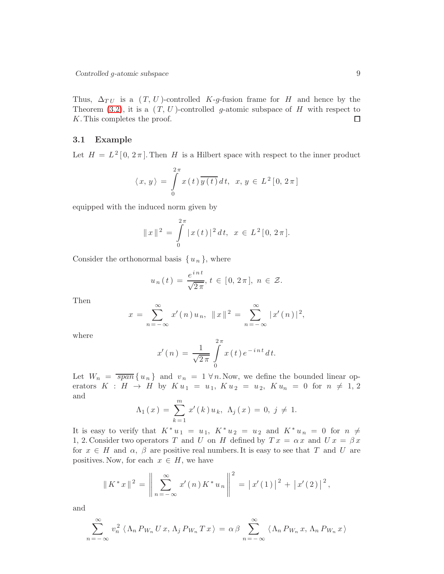Thus,  $\Delta_{TU}$  is a  $(T, U)$ -controlled K-g-fusion frame for H and hence by the Theorem [\(3.2\)](#page-4-1), it is a  $(T, U)$ -controlled g-atomic subspace of H with respect to K. This completes the proof.  $\Box$ 

#### 3.1 Example

Let  $H = L^2[0, 2\pi]$ . Then H is a Hilbert space with respect to the inner product

$$
\langle x, y \rangle = \int\limits_{0}^{2\pi} x(t) \overline{y(t)} dt, \ x, y \in L^{2}[0, 2\pi]
$$

equipped with the induced norm given by

$$
||x||2 = \int_{0}^{2\pi} |x(t)|^{2} dt, \ x \in L^{2}[0, 2\pi].
$$

Consider the orthonormal basis  $\{u_n\}$ , where

$$
u_n(t) = \frac{e^{int}}{\sqrt{2\pi}}, t \in [0, 2\pi], n \in \mathcal{Z}.
$$

Then

$$
x = \sum_{n=-\infty}^{\infty} x'(n) u_n, \ \|x\|^2 = \sum_{n=-\infty}^{\infty} |x'(n)|^2,
$$

where

$$
x'(n) = \frac{1}{\sqrt{2\pi}} \int\limits_{0}^{2\pi} x(t) e^{-int} dt.
$$

Let  $W_n = \overline{span} \{u_n\}$  and  $v_n = 1 \forall n$ . Now, we define the bounded linear operators  $K : H \to H$  by  $K u_1 = u_1, K u_2 = u_2, K u_n = 0$  for  $n \neq 1, 2$ and

$$
\Lambda_1(x) = \sum_{k=1}^m x'(k) u_k, \ \Lambda_j(x) = 0, \ j \neq 1.
$$

It is easy to verify that  $K^*u_1 = u_1, K^*u_2 = u_2$  and  $K^*u_n = 0$  for  $n \neq$ 1, 2. Consider two operators T and U on H defined by  $Tx = \alpha x$  and  $Ux = \beta x$ for  $x \in H$  and  $\alpha$ ,  $\beta$  are positive real numbers. It is easy to see that T and U are positives. Now, for each  $x \in H$ , we have

$$
\|K^*x\|^2 = \left\|\sum_{n=-\infty}^{\infty} x'(n)K^*u_n\right\|^2 = |x'(1)|^2 + |x'(2)|^2,
$$

and

$$
\sum_{n=-\infty}^{\infty} v_n^2 \langle \Lambda_n P_{W_n} U x, \Lambda_j P_{W_n} T x \rangle = \alpha \beta \sum_{n=-\infty}^{\infty} \langle \Lambda_n P_{W_n} x, \Lambda_n P_{W_n} x \rangle
$$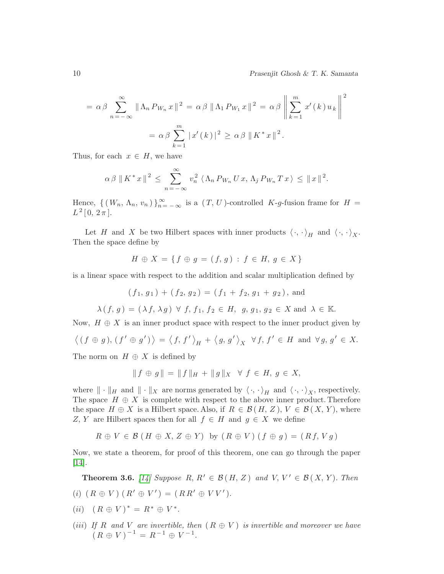$$
= \alpha \beta \sum_{n=-\infty}^{\infty} \|\Lambda_n P_{W_n} x\|^2 = \alpha \beta \|\Lambda_1 P_{W_1} x\|^2 = \alpha \beta \left\| \sum_{k=1}^m x'(k) u_k \right\|^2
$$

$$
= \alpha \beta \sum_{k=1}^m |x'(k)|^2 \ge \alpha \beta \|K^* x\|^2.
$$

Thus, for each  $x \in H$ , we have

$$
\alpha \beta \parallel K^* x \parallel^2 \ \leq \ \sum_{n=-\infty}^{\infty} v_n^2 \langle \Lambda_n P_{W_n} U x, \Lambda_j P_{W_n} T x \rangle \ \leq \ \parallel x \parallel^2.
$$

Hence,  $\{ (W_n, \Lambda_n, v_n) \}_{n=-\infty}^{\infty}$  is a  $(T, U)$ -controlled K-g-fusion frame for  $H =$  $L^2[0, 2\pi].$ 

Let H and X be two Hilbert spaces with inner products  $\langle \cdot, \cdot \rangle_H$  and  $\langle \cdot, \cdot \rangle_X$ . Then the space define by

$$
H \oplus X = \{ f \oplus g = (f, g) : f \in H, g \in X \}
$$

is a linear space with respect to the addition and scalar multiplication defined by

$$
(f_1, g_1) + (f_2, g_2) = (f_1 + f_2, g_1 + g_2)
$$
, and

 $\lambda(f, g) = (\lambda f, \lambda g) \ \forall f, f_1, f_2 \in H, g, g_1, g_2 \in X \text{ and } \lambda \in \mathbb{K}.$ 

Now,  $H \oplus X$  is an inner product space with respect to the inner product given by

$$
\langle (f \oplus g), (f' \oplus g') \rangle = \langle f, f' \rangle_H + \langle g, g' \rangle_X \ \forall f, f' \in H \text{ and } \forall g, g' \in X.
$$

The norm on  $H \oplus X$  is defined by

$$
|| f \oplus g || = || f ||_H + || g ||_X \quad \forall \ f \in H, \ g \in X,
$$

where  $\|\cdot\|_H$  and  $\|\cdot\|_X$  are norms generated by  $\langle \cdot, \cdot \rangle_H$  and  $\langle \cdot, \cdot \rangle_X$ , respectively. The space  $H \oplus X$  is complete with respect to the above inner product. Therefore the space  $H \oplus X$  is a Hilbert space. Also, if  $R \in \mathcal{B}(H, Z)$ ,  $V \in \mathcal{B}(X, Y)$ , where Z, Y are Hilbert spaces then for all  $f \in H$  and  $g \in X$  we define

 $R \oplus V \in \mathcal{B}$   $(H \oplus X, Z \oplus Y)$  by  $(R \oplus V)$   $(f \oplus g) = (Rf, Vg)$ 

Now, we state a theorem, for proof of this theorem, one can go through the paper [\[14\]](#page-19-16).

**Theorem 3.6.** [\[14\]](#page-19-16) Suppose R,  $R' \in \mathcal{B}(H, Z)$  and  $V, V' \in \mathcal{B}(X, Y)$ *. Then* (*i*)  $(R \oplus V) (R' \oplus V') = (RR' \oplus VV')$ .

$$
(ii) (R \oplus V)^* = R^* \oplus V^*.
$$

(*iii*) *If*  $R$  and  $V$  are invertible, then  $(R \oplus V)$  is invertible and moreover we have  $(R \oplus V)^{-1} = R^{-1} \oplus V^{-1}.$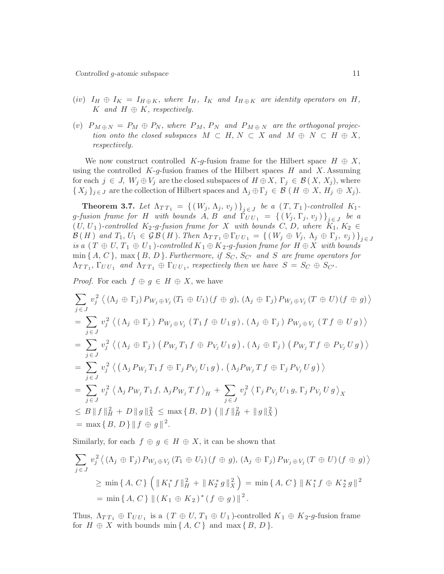- $(iv)$   $I_H \oplus I_K = I_{H \oplus K}$ , where  $I_H$ ,  $I_K$  and  $I_{H \oplus K}$  are identity operators on  $H$ ,  $K$  *and*  $H \oplus K$ *, respectively.*
- (v)  $P_{M \oplus N} = P_M \oplus P_N$ , where  $P_M$ ,  $P_N$  and  $P_{M \oplus N}$  are the orthogonal projec*tion onto the closed subspaces*  $M \subset H$ ,  $N \subset X$  *and*  $M \oplus N \subset H \oplus X$ , *respectively.*

We now construct controlled K-g-fusion frame for the Hilbert space  $H \oplus X$ , using the controlled  $K-g$ -fusion frames of the Hilbert spaces  $H$  and  $X$ . Assuming for each  $j \in J$ ,  $W_j \oplus V_j$  are the closed subspaces of  $H \oplus X$ ,  $\Gamma_j \in \mathcal{B}(X, X_j)$ , where  $\{X_j\}_{j\in J}$  are the collection of Hilbert spaces and  $\Lambda_j \oplus \Gamma_j \in \mathcal{B}$   $(H \oplus X, H_j \oplus X_j)$ .

**Theorem 3.7.** Let  $\Lambda_{TT_1} = \{ (W_j, \Lambda_j, v_j) \}_{j \in J}$  be a  $(T, T_1)$ *-controlled*  $K_1$  $g$ *-fusion frame for*  $H$  *with bounds*  $A, B$  *and*  $\Gamma_{UU_1} = \{ (V_j, \Gamma_j, v_j) \}_{j \in J}$  *be a*  $(U, U_1)$ -controlled  $K_2$ -g-fusion frame for X with bounds C, D, where  $K_1, K_2 \in$  $\mathcal{B}(H)$  *and*  $T_1, U_1 \in \mathcal{GB}(H)$ *. Then*  $\Lambda_{TT_1} \oplus \Gamma_{UU_1} = \{ (W_j \oplus V_j, \Lambda_j \oplus \Gamma_j, v_j) \}_{j \in J}$ *is a*  $(T \oplus U, T_1 \oplus U_1)$ *-controlled*  $K_1 \oplus K_2$ *-g-fusion frame for*  $H \oplus X$  *with bounds*  $\min\{A, C\}$ ,  $\max\{B, D\}$ *. Furthermore, if*  $S_C$ ,  $S_{C'}$  *and* S *are frame operators for*  $\Lambda_{TT_1}, \Gamma_{UU_1}$  and  $\Lambda_{TT_1} \oplus \Gamma_{UU_1}$ , respectively then we have  $S = S_C \oplus S_{C'}$ .

*Proof.* For each  $f \oplus g \in H \oplus X$ , we have

$$
\sum_{j \in J} v_j^2 \langle (\Lambda_j \oplus \Gamma_j) P_{W_j \oplus V_j} (T_1 \oplus U_1) (f \oplus g), (\Lambda_j \oplus \Gamma_j) P_{W_j \oplus V_j} (T \oplus U) (f \oplus g) \rangle
$$
  
\n
$$
= \sum_{j \in J} v_j^2 \langle (\Lambda_j \oplus \Gamma_j) P_{W_j \oplus V_j} (T_1 f \oplus U_1 g), (\Lambda_j \oplus \Gamma_j) P_{W_j \oplus V_j} (T f \oplus U g) \rangle
$$
  
\n
$$
= \sum_{j \in J} v_j^2 \langle (\Lambda_j \oplus \Gamma_j) (P_{W_j} T_1 f \oplus P_{V_j} U_1 g), (\Lambda_j \oplus \Gamma_j) (P_{W_j} T f \oplus P_{V_j} U g) \rangle
$$
  
\n
$$
= \sum_{j \in J} v_j^2 \langle (\Lambda_j P_{W_j} T_1 f \oplus \Gamma_j P_{V_j} U_1 g), (\Lambda_j P_{W_j} T f \oplus \Gamma_j P_{V_j} U g) \rangle
$$
  
\n
$$
= \sum_{j \in J} v_j^2 \langle \Lambda_j P_{W_j} T_1 f, \Lambda_j P_{W_j} T f \rangle_H + \sum_{j \in J} v_j^2 \langle \Gamma_j P_{V_j} U_1 g, \Gamma_j P_{V_j} U g \rangle_X
$$
  
\n
$$
\leq B \| f \|_H^2 + D \| g \|_X^2 \leq \max \{ B, D \} ( \| f \|_H^2 + \| g \|_X^2 )
$$
  
\n
$$
= \max \{ B, D \} \| f \oplus g \|^2.
$$

Similarly, for each  $f \oplus g \in H \oplus X$ , it can be shown that

$$
\sum_{j \in J} v_j^2 \langle (\Lambda_j \oplus \Gamma_j) P_{W_j \oplus V_j} (T_1 \oplus U_1) (f \oplus g), (\Lambda_j \oplus \Gamma_j) P_{W_j \oplus V_j} (T \oplus U) (f \oplus g) \rangle
$$
  
\n
$$
\ge \min \{ A, C \} \left( \| K_1^* f \|_H^2 + \| K_2^* g \|_X^2 \right) = \min \{ A, C \} \| K_1^* f \oplus K_2^* g \|_X^2
$$
  
\n
$$
= \min \{ A, C \} \| (K_1 \oplus K_2)^* (f \oplus g) \|^2.
$$

Thus,  $\Lambda_{TT_1} \oplus \Gamma_{UU_1}$  is a  $(T \oplus U, T_1 \oplus U_1)$ -controlled  $K_1 \oplus K_2$ -g-fusion frame for  $H \oplus X$  with bounds min  $\{A, C\}$  and max  $\{B, D\}$ .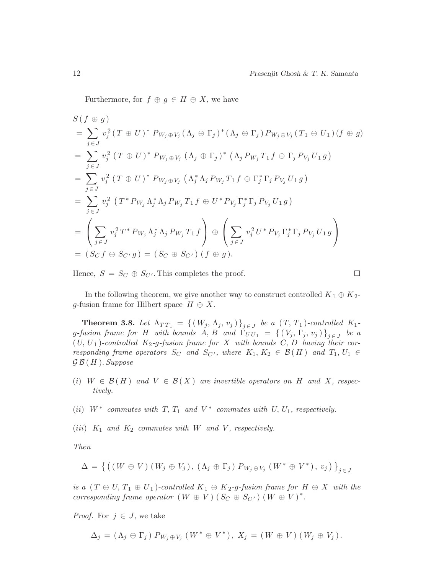Furthermore, for  $f \oplus g \in H \oplus X$ , we have

$$
S(f \oplus g)
$$
  
=  $\sum_{j \in J} v_j^2 (T \oplus U)^* P_{W_j \oplus V_j} (\Lambda_j \oplus \Gamma_j)^* (\Lambda_j \oplus \Gamma_j) P_{W_j \oplus V_j} (T_1 \oplus U_1) (f \oplus g)$   
=  $\sum_{j \in J} v_j^2 (T \oplus U)^* P_{W_j \oplus V_j} (\Lambda_j \oplus \Gamma_j)^* (\Lambda_j P_{W_j} T_1 f \oplus \Gamma_j P_{V_j} U_1 g)$   
=  $\sum_{j \in J} v_j^2 (T \oplus U)^* P_{W_j \oplus V_j} (\Lambda_j^* \Lambda_j P_{W_j} T_1 f \oplus \Gamma_j^* \Gamma_j P_{V_j} U_1 g)$   
=  $\sum_{j \in J} v_j^2 (T^* P_{W_j} \Lambda_j^* \Lambda_j P_{W_j} T_1 f \oplus U^* P_{V_j} \Gamma_j^* \Gamma_j P_{V_j} U_1 g)$   
=  $\left( \sum_{j \in J} v_j^2 T^* P_{W_j} \Lambda_j^* \Lambda_j P_{W_j} T_1 f \right) \oplus \left( \sum_{j \in J} v_j^2 U^* P_{V_j} \Gamma_j^* \Gamma_j P_{V_j} U_1 g \right)$   
=  $(S_C f \oplus S_{C'} g) = (S_C \oplus S_{C'}) (f \oplus g).$ 

Hence,  $S = S_C \oplus S_{C'}$ . This completes the proof.

$$
\overline{\Box}
$$

In the following theorem, we give another way to construct controlled  $K_1 \oplus K_2$ g-fusion frame for Hilbert space  $H \oplus X$ .

**Theorem 3.8.** Let  $\Lambda_{TT_1} = \{ (W_j, \Lambda_j, v_j) \}_{j \in J}$  be a  $(T, T_1)$ *-controlled*  $K_1$  $g$ *-fusion frame for*  $H$  *with bounds*  $A, B$  *and*  $\Gamma_{UU_1} = \{ (V_j, \Gamma_j, v_j) \}_{j \in J}$  *be a*  $(U, U_1)$ -controlled  $K_2$ -g-fusion frame for X with bounds C, D having their cor*responding frame operators*  $S_C$  *and*  $S_{C'}$ *, where*  $K_1, K_2 \in \mathcal{B}(H)$  *and*  $T_1, U_1 \in$ G B ( H )*. Suppose*

- (i)  $W \in \mathcal{B}(H)$  and  $V \in \mathcal{B}(X)$  are invertible operators on H and X, respec*tively.*
- (ii)  $W^*$  commutes with  $T, T_1$  and  $V^*$  commutes with  $U, U_1$ , respectively.
- (*iii*)  $K_1$  *and*  $K_2$  *commutes with* W *and* V, *respectively.*

*Then*

$$
\Delta = \left\{ \left( \left( W \oplus V \right) \left( W_j \oplus V_j \right), \left( \Lambda_j \oplus \Gamma_j \right) P_{W_j \oplus V_j} \left( W^* \oplus V^* \right), v_j \right) \right\}_{j \in J}
$$

*is a*  $(T \oplus U, T_1 \oplus U_1)$ *-controlled*  $K_1 \oplus K_2$ *-g-fusion frame for*  $H \oplus X$  *with the corresponding frame operator*  $(W \oplus V)$   $(S_C \oplus S_{C'})$   $(W \oplus V)^*$ .

*Proof.* For  $j \in J$ , we take

$$
\Delta_j = (\Lambda_j \oplus \Gamma_j) P_{W_j \oplus V_j} (W^* \oplus V^*), X_j = (W \oplus V) (W_j \oplus V_j).
$$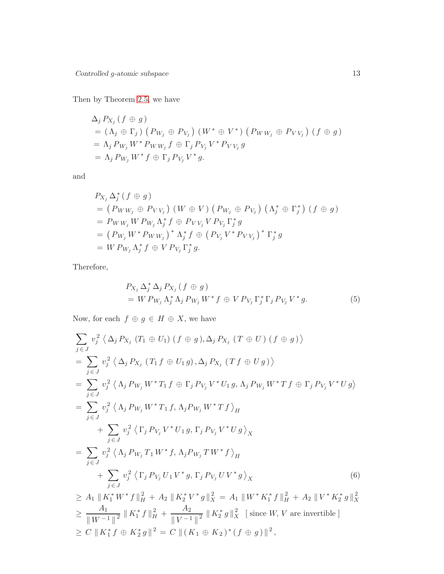Then by Theorem [2.5,](#page-2-1) we have

$$
\Delta_j P_{X_j} (f \oplus g)
$$
  
=  $(\Lambda_j \oplus \Gamma_j) (P_{W_j} \oplus P_{V_j}) (W^* \oplus V^*) (P_{WW_j} \oplus P_{VV_j}) (f \oplus g)$   
=  $\Lambda_j P_{W_j} W^* P_{WW_j} f \oplus \Gamma_j P_{V_j} V^* P_{VV_j} g$   
=  $\Lambda_j P_{W_j} W^* f \oplus \Gamma_j P_{V_j} V^* g.$ 

and

$$
P_{X_j} \Delta_j^* (f \oplus g)
$$
  
=  $(P_{WW_j} \oplus P_{VV_j}) (W \oplus V) (P_{W_j} \oplus P_{V_j}) (\Lambda_j^* \oplus \Gamma_j^*) (f \oplus g)$   
=  $P_{WW_j} W P_{W_j} \Lambda_j^* f \oplus P_{VV_j} V P_{V_j} \Gamma_j^* g$   
=  $(P_{W_j} W^* P_{WW_j})^* \Lambda_j^* f \oplus (P_{V_j} V^* P_{VV_j})^* \Gamma_j^* g$   
=  $W P_{W_j} \Lambda_j^* f \oplus V P_{V_j} \Gamma_j^* g$ .

Therefore,

<span id="page-12-0"></span>≥

$$
P_{X_j} \Delta_j^* \Delta_j P_{X_j} (f \oplus g)
$$
  
=  $W P_{W_j} \Delta_j^* \Delta_j P_{W_j} W^* f \oplus V P_{V_j} \Gamma_j^* \Gamma_j P_{V_j} V^* g.$  (5)

Now, for each  $f \oplus g \in H \oplus X$ , we have

$$
\sum_{j \in J} v_j^2 \langle \Delta_j P_{X_j} (T_1 \oplus U_1) (f \oplus g), \Delta_j P_{X_j} (T \oplus U) (f \oplus g) \rangle
$$
  
\n
$$
= \sum_{j \in J} v_j^2 \langle \Delta_j P_{X_j} (T_1 f \oplus U_1 g), \Delta_j P_{X_j} (T f \oplus U g) \rangle
$$
  
\n
$$
= \sum_{j \in J} v_j^2 \langle \Lambda_j P_{W_j} W^* T_1 f \oplus \Gamma_j P_{V_j} V^* U_1 g, \Lambda_j P_{W_j} W^* T f \oplus \Gamma_j P_{V_j} V^* U g \rangle
$$
  
\n
$$
= \sum_{j \in J} v_j^2 \langle \Lambda_j P_{W_j} W^* T_1 f, \Lambda_j P_{W_j} W^* T f \rangle_H
$$
  
\n
$$
+ \sum_{j \in J} v_j^2 \langle \Gamma_j P_{V_j} V^* U_1 g, \Gamma_j P_{V_j} V^* U g \rangle_X
$$
  
\n
$$
= \sum_{j \in J} v_j^2 \langle \Lambda_j P_{W_j} T_1 W^* f, \Lambda_j P_{W_j} T W^* f \rangle_H
$$
  
\n
$$
+ \sum_{j \in J} v_j^2 \langle \Gamma_j P_{V_j} U_1 V^* g, \Gamma_j P_{V_j} U V^* g \rangle_X
$$
  
\n
$$
\geq A_1 \| K_1^* W^* f \|_H^2 + A_2 \| K_2^* V^* g \|_X^2 = A_1 \| W^* K_1^* f \|_H^2 + A_2 \| V^* K_2^* g \|_X^2
$$
  
\n
$$
\geq \frac{A_1}{\| W^{-1} \|^2} \| K_1^* f \|_H^2 + \frac{A_2}{\| V^{-1} \|^2} \| K_2^* g \|_X^2 \text{ [since } W, V \text{ are invertible]}
$$

 $\geq C \Vert K_1^* f \oplus K_2^* g \Vert^2 = C \Vert (K_1 \oplus K_2)^* (f \oplus g) \Vert^2,$ 

<span id="page-12-1"></span>
$$
13\,
$$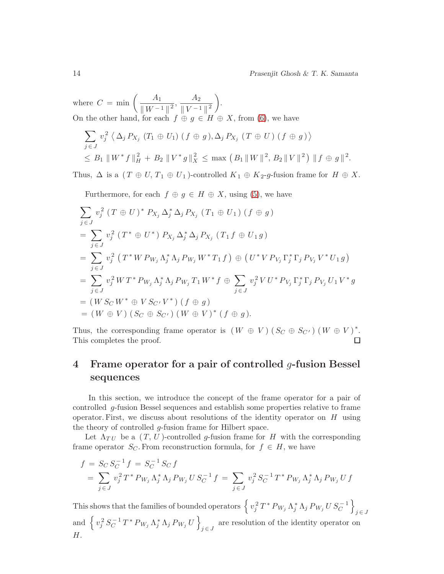where  $C = \min \left( \frac{A_1}{\ln a} \right)$  $\frac{A_1}{\|W^{-1}\|^2}, \frac{A_2}{\|V^{-1}\|}$  $\left\| V^{-1} \right\|^2$  . On the other hand, for each  $f \oplus g \in H \oplus X$ , from [\(6\)](#page-12-0), we have

Furthermore, for each  $f \oplus g \in H \oplus X$ , using [\(5\)](#page-12-1), we have

$$
\sum_{j \in J} v_j^2 \langle \Delta_j P_{X_j} (T_1 \oplus U_1) (f \oplus g), \Delta_j P_{X_j} (T \oplus U) (f \oplus g) \rangle
$$
  
 
$$
\leq B_1 \| W^* f \|_H^2 + B_2 \| V^* g \|_X^2 \leq \max (B_1 \| W \|_{2}^2, B_2 \| V \|_{2}^2) \| f \oplus g \|_2^2.
$$

Thus,  $\Delta$  is a  $(T \oplus U, T_1 \oplus U_1)$ -controlled  $K_1 \oplus K_2$ -g-fusion frame for  $H \oplus X$ .

 $\sum$  $j \in J$  $v_i^2$  $j^2$  (T  $\oplus$  U)<sup>\*</sup>  $P_{X_j} \Delta_j^* \Delta_j P_{X_j}$  (T<sub>1</sub>  $\oplus$  U<sub>1</sub>) (f  $\oplus$  g)  $=$   $\sum$  $j \in J$  $v_i^2$  $j^2$  (T<sup>\*</sup>  $\oplus$  U<sup>\*</sup>)  $P_{X_j} \Delta_j^* \Delta_j P_{X_j}$  (T<sub>1</sub>f  $\oplus$  U<sub>1</sub>g)  $=$   $\sum$  $j \in J$  $v_i^2$  $\int_j^2 (T^* W P_{W_j} \Lambda_j^* \Lambda_j P_{W_j} W^* T_1 f) \oplus (U^* V P_{V_j} \Gamma_j^* \Gamma_j P_{V_j} V^* U_1 g)$  $=$   $\sum$  $j \in J$  $v_j^2 \, W \, T^* \, P_{\,W_j} \, \Lambda_j^* \, \Lambda_j \, P_{\,W_j} \, T_1 \, W^* \, f \, \oplus \, \, \sum$  $j \in J$  $v_j^2 V U^* P_{V_j} \Gamma_j^* \Gamma_j P_{V_j} U_1 V^* g$  $= ( W S_C W^* \oplus V S_{C'} V^* ) ( f \oplus g )$  $= ( W \oplus V) ( S_C \oplus S_{C'} ) ( W \oplus V)^* ( f \oplus g ).$ 

Thus, the corresponding frame operator is  $(W \oplus V)$   $(S_C \oplus S_{C'})$   $(W \oplus V)^*$ . This completes the proof.

# 4 Frame operator for a pair of controlled  $q$ -fusion Bessel sequences

In this section, we introduce the concept of the frame operator for a pair of controlled g-fusion Bessel sequences and establish some properties relative to frame operator. First, we discuss about resolutions of the identity operator on  $H$  using the theory of controlled g-fusion frame for Hilbert space.

Let  $\Lambda_{TU}$  be a  $(T, U)$ -controlled g-fusion frame for H with the corresponding frame operator  $S_C$ . From reconstruction formula, for  $f \in H$ , we have

$$
f = S_C S_C^{-1} f = S_C^{-1} S_C f
$$
  
=  $\sum_{j \in J} v_j^2 T^* P_{W_j} \Lambda_j^* \Lambda_j P_{W_j} U S_C^{-1} f = \sum_{j \in J} v_j^2 S_C^{-1} T^* P_{W_j} \Lambda_j^* \Lambda_j P_{W_j} U f$ 

This shows that the families of bounded operators  $\left\{v_j^2 T^* P_{W_j} \Lambda_j^* \Lambda_j P_{W_j} U S_C^{-1}\right\}$  $j \in J$ and  $\left\{ v_j^2 S_C^{-1} \right\}$  $\left\{ \frac{1}{C} \, \mathbb{1} \, T^* \, P_{\, W_j} \, \Lambda_j^* \, \Lambda_j \, P_{\, W_j} \, U \, \right\}$ are resolution of the identity operator on  $j \in J$ H.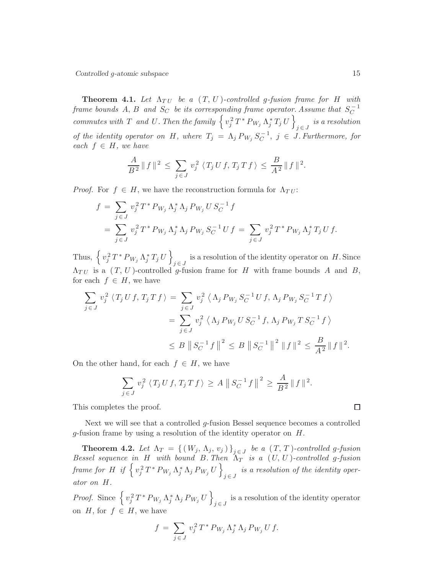**Theorem 4.1.** Let  $\Lambda_{TU}$  be a  $(T, U)$ -controlled g-fusion frame for H with *frame bounds*  $A, B$  *and*  $S_C$  *be its corresponding frame operator. Assume that*  $S_C^{-1}$  $commutes with T and U. Then the family \left\{ v_j^2 T^* P_{W_j} \Lambda_j^* T_j U \right\}$  $j \in J$  *is a resolution of the identity operator on* H, where  $T_j = \Lambda_j P_{W_j} S_C^{-1}$  $C^{-1}$ ,  $j \in J$ . Furthermore, for  $each f \in H$ *, we have* 

$$
\frac{A}{B^2} \| f \|^2 \le \sum_{j \in J} v_j^2 \langle T_j U f, T_j T f \rangle \le \frac{B}{A^2} \| f \|^2.
$$

*Proof.* For  $f \in H$ , we have the reconstruction formula for  $\Lambda_{TU}$ :

$$
f = \sum_{j \in J} v_j^2 T^* P_{W_j} \Lambda_j^* \Lambda_j P_{W_j} U S_C^{-1} f
$$
  
= 
$$
\sum_{j \in J} v_j^2 T^* P_{W_j} \Lambda_j^* \Lambda_j P_{W_j} S_C^{-1} U f = \sum_{j \in J} v_j^2 T^* P_{W_j} \Lambda_j^* T_j U f.
$$

Thus,  $\left\{ v_j^2 T^* P_{W_j} \Lambda_j^* T_j U \right\}$ is a resolution of the identity operator on  $H$ . Since  $\Lambda_{TU}$  is a  $(T, U)$ -controlled g-fusion frame for H with frame bounds A and B, for each  $f \in H$ , we have

$$
\sum_{j \in J} v_j^2 \langle T_j U f, T_j T f \rangle = \sum_{j \in J} v_j^2 \langle \Lambda_j P_{W_j} S_C^{-1} U f, \Lambda_j P_{W_j} S_C^{-1} T f \rangle
$$
  
= 
$$
\sum_{j \in J} v_j^2 \langle \Lambda_j P_{W_j} U S_C^{-1} f, \Lambda_j P_{W_j} T S_C^{-1} f \rangle
$$
  

$$
\leq B \left\| S_C^{-1} f \right\|^2 \leq B \left\| S_C^{-1} \right\|^2 \left\| f \right\|^2 \leq \frac{B}{A^2} \| f \|^2.
$$

On the other hand, for each  $f \in H$ , we have

$$
\sum_{j \in J} v_j^2 \langle T_j U f, T_j T f \rangle \ge A \|S_C^{-1} f\|^2 \ge \frac{A}{B^2} \|f\|^2.
$$

This completes the proof.

Next we will see that a controlled g-fusion Bessel sequence becomes a controlled g-fusion frame by using a resolution of the identity operator on H.

**Theorem 4.2.** Let  $\Lambda_T = \{ (W_j, \Lambda_j, v_j) \}_{j \in J}$  be a  $(T, T)$ -controlled g-fusion *Bessel sequence in* H *with bound* B. Then  $\Lambda_T$  *is a*  $(U, U)$ *-controlled g-fusion*  $\emph{frame for $H$ if $\Big\{v_j^2\,T^*\,P_{W_j}\,\Lambda_j^*\,\Lambda_j\,P_{W_j}\,U\,\Big\}$}$ *i*s a resolution of the identity oper*ator on* H*.*

*Proof.* Since  $\left\{v_j^2 T^* P_{W_j} \Lambda_j^* \Lambda_j P_{W_j} U\right\}$ is a resolution of the identity operator  $j \in J$ on H, for  $f \in H$ , we have

$$
f = \sum_{j \in J} v_j^2 T^* P_{W_j} \Lambda_j^* \Lambda_j P_{W_j} U f.
$$

 $\Box$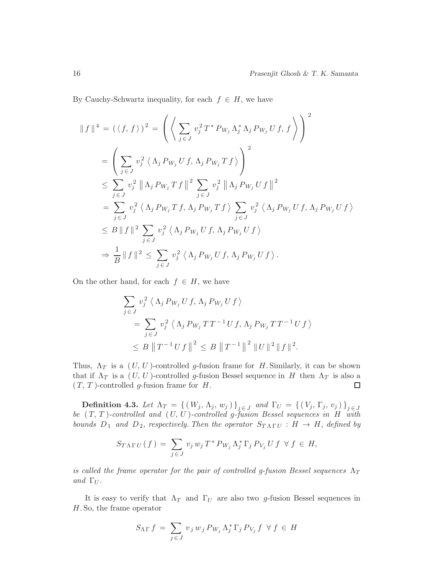By Cauchy-Schwartz inequality, for each  $f \in H$ , we have

$$
\|f\|^4 = (\langle f, f \rangle)^2 = \left( \left\langle \sum_{j \in J} v_j^2 T^* P_{W_j} \Lambda_j^* \Lambda_j P_{W_j} U f, f \right\rangle \right)^2
$$
  
\n
$$
= \left( \sum_{j \in J} v_j^2 \left\langle \Lambda_j P_{W_j} U f, \Lambda_j P_{W_j} T f \right\rangle \right)^2
$$
  
\n
$$
\leq \sum_{j \in J} v_j^2 \left\| \Lambda_j P_{W_j} T f \right\|^2 \sum_{j \in J} v_j^2 \left\| \Lambda_j P_{W_j} U f \right\|^2
$$
  
\n
$$
= \sum_{j \in J} v_j^2 \left\langle \Lambda_j P_{W_j} T f, \Lambda_j P_{W_j} T f \right\rangle \sum_{j \in J} v_j^2 \left\langle \Lambda_j P_{W_j} U f, \Lambda_j P_{W_j} U f \right\rangle
$$
  
\n
$$
\leq B \|f\|^2 \sum_{j \in J} v_j^2 \left\langle \Lambda_j P_{W_j} U f, \Lambda_j P_{W_j} U f \right\rangle
$$
  
\n
$$
\Rightarrow \frac{1}{B} \|f\|^2 \leq \sum_{j \in J} v_j^2 \left\langle \Lambda_j P_{W_j} U f, \Lambda_j P_{W_j} U f \right\rangle.
$$

On the other hand, for each  $f \in H$ , we have

$$
\sum_{j \in J} v_j^2 \langle \Lambda_j P_{W_j} U f, \Lambda_j P_{W_j} U f \rangle
$$
  
= 
$$
\sum_{j \in J} v_j^2 \langle \Lambda_j P_{W_j} T T^{-1} U f, \Lambda_j P_{W_j} T T^{-1} U f \rangle
$$
  

$$
\leq B ||T^{-1} U f||^2 \leq B ||T^{-1}||^2 ||U||^2 ||f||^2.
$$

Thus,  $\Lambda_T$  is a  $(U, U)$ -controlled g-fusion frame for H. Similarly, it can be shown that if  $\Lambda_T$  is a  $(U, U)$ -controlled g-fusion Bessel sequence in H then  $\Lambda_T$  is also a  $(T, T)$ -controlled g-fusion frame for H.  $\Box$ 

 $\textbf{Definition 4.3. } Let \,\, \Lambda_T \,=\, \left\{\,\left(\,W_j,\, \Lambda_j,\, w_j\,\right)\,\right\}_{j \,\in\, J} \,\, and \,\, \Gamma_U \,=\, \left\{\,\left(\,V_j,\, \Gamma_j,\, v_j\,\right)\,\right\}_{j \,\in\, J}$ *be* ( T, T )*-controlled and* (U, U )*-controlled* g*-fusion Bessel sequences in* H *with bounds*  $D_1$  *and*  $D_2$ *, respectively. Then the operator*  $S_{T \Lambda \Gamma U} : H \to H$ *, defined by* 

$$
S_{T\Lambda\Gamma U}(f) = \sum_{j\in J} v_j w_j T^* P_{W_j} \Lambda_j^* \Gamma_j P_{V_j} U f \forall f \in H,
$$

*is called the frame operator for the pair of controlled g-fusion Bessel sequences*  $\Lambda_T$ *and*  $\Gamma_U$ *.* 

It is easy to verify that  $\Lambda_T$  and  $\Gamma_U$  are also two g-fusion Bessel sequences in H. So, the frame operator

$$
S_{\Lambda\Gamma} f = \sum_{j \in J} v_j w_j P_{W_j} \Lambda_j^* \Gamma_j P_{V_j} f \ \forall f \in H
$$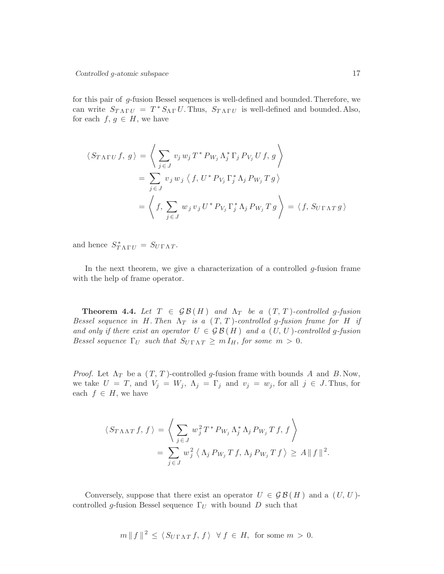for this pair of g-fusion Bessel sequences is well-defined and bounded. Therefore, we can write  $S_{T\Lambda\Gamma U} = T^* S_{\Lambda\Gamma} U$ . Thus,  $S_{T\Lambda\Gamma U}$  is well-defined and bounded. Also, for each  $f, g \in H$ , we have

$$
\langle S_{T\Lambda\Gamma U}f, g\rangle = \left\langle \sum_{j\in J} v_j w_j T^* P_{W_j} \Lambda_j^* \Gamma_j P_{V_j} U f, g \right\rangle
$$
  
= 
$$
\sum_{j\in J} v_j w_j \langle f, U^* P_{V_j} \Gamma_j^* \Lambda_j P_{W_j} T g \rangle
$$
  
= 
$$
\left\langle f, \sum_{j\in J} w_j v_j U^* P_{V_j} \Gamma_j^* \Lambda_j P_{W_j} T g \right\rangle = \langle f, S_{U\Gamma\Lambda T} g \rangle
$$

and hence  $S_{T\Lambda\Gamma U}^* = S_{U\Gamma\Lambda T}$ .

In the next theorem, we give a characterization of a controlled  $g$ -fusion frame with the help of frame operator.

**Theorem 4.4.** Let  $T \in \mathcal{GB}(H)$  and  $\Lambda_T$  be a  $(T, T)$ -controlled g-fusion *Bessel sequence in* H. Then  $\Lambda_T$  *is a*  $(T, T)$ *-controlled g-fusion frame for* H *if and only if there exist an operator*  $U \in \mathcal{GB}(H)$  *and a*  $(U, U)$ *-controlled g-fusion Bessel sequence*  $\Gamma_U$  *such that*  $S_{U \Gamma \Lambda T} \geq m I_H$ , for some  $m > 0$ .

*Proof.* Let  $\Lambda_T$  be a  $(T, T)$ -controlled g-fusion frame with bounds A and B. Now, we take  $U = T$ , and  $V_j = W_j$ ,  $\Lambda_j = \Gamma_j$  and  $v_j = w_j$ , for all  $j \in J$ . Thus, for each  $f \in H$ , we have

$$
\langle S_{T\Lambda\Lambda T} f, f \rangle = \left\langle \sum_{j \in J} w_j^2 T^* P_{W_j} \Lambda_j^* \Lambda_j P_{W_j} T f, f \right\rangle
$$
  
= 
$$
\sum_{j \in J} w_j^2 \left\langle \Lambda_j P_{W_j} T f, \Lambda_j P_{W_j} T f \right\rangle \ge A \|f\|^2.
$$

Conversely, suppose that there exist an operator  $U \in \mathcal{GB}(H)$  and a  $(U, U)$ controlled g-fusion Bessel sequence  $\Gamma_U$  with bound D such that

$$
m || f ||^2 \le \langle S_{U\Gamma\Lambda T} f, f \rangle \ \forall f \in H
$$
, for some  $m > 0$ .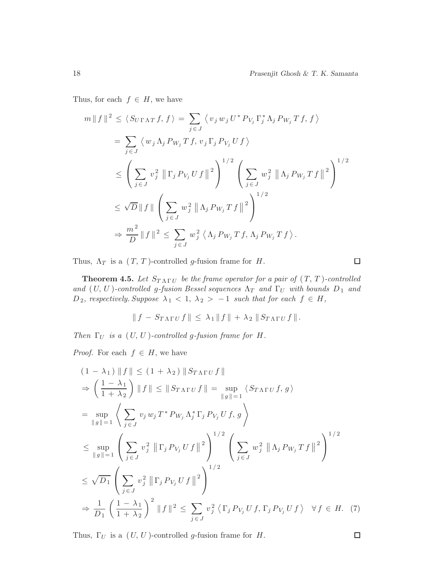Thus, for each  $f \in H$ , we have

$$
m || f ||^2 \le \langle S_{U\Gamma\Lambda T} f, f \rangle = \sum_{j \in J} \langle v_j w_j U^* P_{V_j} \Gamma_j^* \Lambda_j P_{W_j} T f, f \rangle
$$
  
\n
$$
= \sum_{j \in J} \langle w_j \Lambda_j P_{W_j} T f, v_j \Gamma_j P_{V_j} U f \rangle
$$
  
\n
$$
\le \left( \sum_{j \in J} v_j^2 ||\Gamma_j P_{V_j} U f||^2 \right)^{1/2} \left( \sum_{j \in J} w_j^2 ||\Lambda_j P_{W_j} T f||^2 \right)^{1/2}
$$
  
\n
$$
\le \sqrt{D} || f || \left( \sum_{j \in J} w_j^2 ||\Lambda_j P_{W_j} T f||^2 \right)^{1/2}
$$
  
\n
$$
\Rightarrow \frac{m^2}{D} || f ||^2 \le \sum_{j \in J} w_j^2 \langle \Lambda_j P_{W_j} T f, \Lambda_j P_{W_j} T f \rangle.
$$

Thus,  $\Lambda_T$  is a  $(T, T)$ -controlled g-fusion frame for H.

**Theorem 4.5.** Let  $S_{T \Lambda\Gamma U}$  be the frame operator for a pair of  $(T, T)$ -controlled *and*  $(U, U)$ *-controlled g-fusion Bessel sequences*  $\Lambda_T$  *and*  $\Gamma_U$  *with bounds*  $D_1$  *and*  $D_2$ , respectively. Suppose  $\lambda_1 < 1$ ,  $\lambda_2 > -1$  such that for each  $f \in H$ ,

$$
\|f - S_{T\Lambda\Gamma U}f\| \leq \lambda_1 \|f\| + \lambda_2 \|S_{T\Lambda\Gamma U}f\|.
$$

*Then*  $\Gamma_U$  *is a*  $(U, U)$ *-controlled g-fusion frame for*  $H$ *.* 

*Proof.* For each  $f \in H$ , we have

$$
(1 - \lambda_1) \|f\| \le (1 + \lambda_2) \|S_{T\Lambda\Gamma U} f\|
$$
  
\n
$$
\Rightarrow \left(\frac{1 - \lambda_1}{1 + \lambda_2}\right) \|f\| \le \|S_{T\Lambda\Gamma U} f\| = \sup_{\|g\|=1} \left\langle S_{T\Lambda\Gamma U} f, g\right\rangle
$$
  
\n
$$
= \sup_{\|g\|=1} \left\langle \sum_{j\in J} v_j w_j T^* P_{W_j} \Lambda_j^* \Gamma_j P_{V_j} U f, g \right\rangle
$$
  
\n
$$
\le \sup_{\|g\|=1} \left(\sum_{j\in J} v_j^2 \| \Gamma_j P_{V_j} U f\|^2\right)^{1/2} \left(\sum_{j\in J} w_j^2 \| \Lambda_j P_{W_j} Tf\|^2\right)^{1/2}
$$
  
\n
$$
\le \sqrt{D_1} \left(\sum_{j\in J} v_j^2 \| \Gamma_j P_{V_j} U f\|^2\right)^{1/2}
$$
  
\n
$$
\Rightarrow \frac{1}{D_1} \left(\frac{1 - \lambda_1}{1 + \lambda_2}\right)^2 \|f\|^2 \le \sum_{j\in J} v_j^2 \langle \Gamma_j P_{V_j} U f, \Gamma_j P_{V_j} U f \rangle \quad \forall f \in H.
$$

Thus,  $\Gamma_U$  is a  $(U, U)$ -controlled g-fusion frame for H.

 $\Box$ 

<span id="page-17-0"></span> $(7)$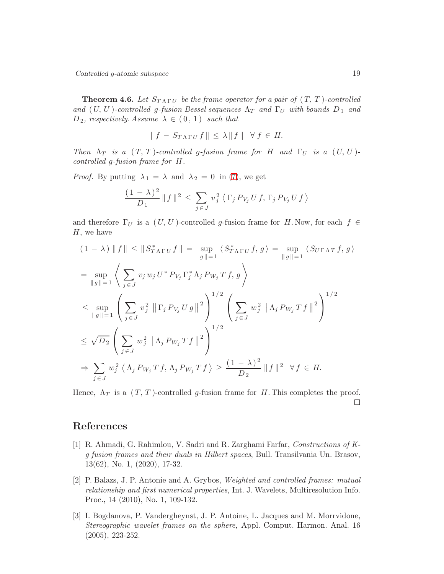Controlled g-atomic subspace 19

**Theorem 4.6.** Let  $S_{T\Lambda\Gamma U}$  be the frame operator for a pair of  $(T, T)$ -controlled *and*  $(U, U)$ *-controlled g-fusion Bessel sequences*  $\Lambda_T$  *and*  $\Gamma_U$  *with bounds*  $D_1$  *and*  $D_2$ , *respectively. Assume*  $\lambda \in (0, 1)$  *such that* 

$$
\|f - S_{T\Lambda\Gamma U}f\| \leq \lambda \|f\| \quad \forall \ f \in H.
$$

*Then*  $\Lambda_T$  *is a*  $(T, T)$ *-controlled g-fusion frame for* H *and*  $\Gamma_U$  *is a*  $(U, U)$ *controlled* g*-fusion frame for* H*.*

*Proof.* By putting  $\lambda_1 = \lambda$  and  $\lambda_2 = 0$  in [\(7\)](#page-17-0), we get

$$
\frac{(1 - \lambda)^2}{D_1} ||f||^2 \leq \sum_{j \in J} v_j^2 \langle \Gamma_j P_{V_j} U f, \Gamma_j P_{V_j} U f \rangle
$$

and therefore  $\Gamma_U$  is a  $(U, U)$ -controlled g-fusion frame for H. Now, for each  $f \in$  $H$ , we have

$$
(1 - \lambda) \|f\| \le \|S_{T\Lambda\Gamma U}^* f\| = \sup_{\|g\|=1} \langle S_{T\Lambda\Gamma U}^* f, g \rangle = \sup_{\|g\|=1} \langle S_{U\Gamma\Lambda T} f, g \rangle
$$
  
\n
$$
= \sup_{\|g\|=1} \left\langle \sum_{j\in J} v_j w_j U^* P_{V_j} \Gamma_j^* \Lambda_j P_{W_j} T f, g \right\rangle
$$
  
\n
$$
\le \sup_{\|g\|=1} \left( \sum_{j\in J} v_j^2 \| \Gamma_j P_{V_j} U g \|^2 \right)^{1/2} \left( \sum_{j\in J} w_j^2 \| \Lambda_j P_{W_j} T f \|^2 \right)^{1/2}
$$
  
\n
$$
\le \sqrt{D_2} \left( \sum_{j\in J} w_j^2 \| \Lambda_j P_{W_j} T f \|^2 \right)^{1/2}
$$
  
\n
$$
\Rightarrow \sum_{j\in J} w_j^2 \langle \Lambda_j P_{W_j} T f, \Lambda_j P_{W_j} T f \rangle \ge \frac{(1 - \lambda)^2}{D_2} \| f \|^2 \ \forall f \in H.
$$

Hence,  $\Lambda_T$  is a  $(T, T)$ -controlled g-fusion frame for H. This completes the proof.  $\Box$ 

## <span id="page-18-0"></span>References

- [1] R. Ahmadi, G. Rahimlou, V. Sadri and R. Zarghami Farfar, *Constructions of Kg fusion frames and their duals in Hilbert spaces*, Bull. Transilvania Un. Brasov, 13(62), No. 1, (2020), 17-32.
- <span id="page-18-2"></span>[2] P. Balazs, J. P. Antonie and A. Grybos, *Weighted and controlled frames: mutual relationship and first numerical properties,* Int. J. Wavelets, Multiresolution Info. Proc., 14 (2010), No. 1, 109-132.
- <span id="page-18-1"></span>[3] I. Bogdanova, P. Vandergheynst, J. P. Antoine, L. Jacques and M. Morrvidone, *Stereographic wavelet frames on the sphere,* Appl. Comput. Harmon. Anal. 16 (2005), 223-252.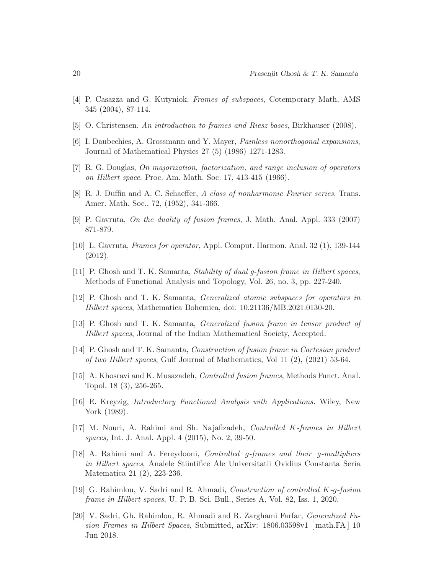- <span id="page-19-4"></span><span id="page-19-2"></span>[4] P. Casazza and G. Kutyniok, *Frames of subspaces*, Cotemporary Math, AMS 345 (2004), 87-114.
- <span id="page-19-1"></span>[5] O. Christensen, *An introduction to frames and Riesz bases*, Birkhauser (2008).
- <span id="page-19-13"></span>[6] I. Daubechies, A. Grossmann and Y. Mayer, *Painless nonorthogonal expansions*, Journal of Mathematical Physics 27 (5) (1986) 1271-1283.
- <span id="page-19-0"></span>[7] R. G. Douglas, *On majorization, factorization, and range inclusion of operators on Hilbert space*. Proc. Am. Math. Soc. 17, 413-415 (1966).
- <span id="page-19-15"></span>[8] R. J. Duffin and A. C. Schaeffer, *A class of nonharmonic Fourier series*, Trans. Amer. Math. Soc., 72, (1952), 341-366.
- <span id="page-19-3"></span>[9] P. Gavruta, *On the duality of fusion frames*, J. Math. Anal. Appl. 333 (2007) 871-879.
- <span id="page-19-7"></span>[10] L. Gavruta, *Frames for operator*, Appl. Comput. Harmon. Anal. 32 (1), 139-144 (2012).
- <span id="page-19-8"></span>[11] P. Ghosh and T. K. Samanta, *Stability of dual g-fusion frame in Hilbert spaces*, Methods of Functional Analysis and Topology, Vol. 26, no. 3, pp. 227-240.
- [12] P. Ghosh and T. K. Samanta, *Generalized atomic subspaces for operators in Hilbert spaces*, Mathematica Bohemica, doi: 10.21136/MB.2021.0130-20.
- <span id="page-19-16"></span><span id="page-19-5"></span>[13] P. Ghosh and T. K. Samanta, *Generalized fusion frame in tensor product of Hilbert spaces*, Journal of the Indian Mathematical Society, Accepted.
- [14] P. Ghosh and T. K. Samanta, *Construction of fusion frame in Cartesian product of two Hilbert spaces*, Gulf Journal of Mathematics, Vol 11 (2), (2021) 53-64.
- <span id="page-19-11"></span>[15] A. Khosravi and K. Musazadeh, *Controlled fusion frames*, Methods Funct. Anal. Topol. 18 (3), 256-265.
- <span id="page-19-14"></span>[16] E. Kreyzig, *Introductory Functional Analysis with Applications.* Wiley, New York (1989).
- <span id="page-19-9"></span>[17] M. Nouri, A. Rahimi and Sh. Najafizadeh, *Controlled* K*-frames in Hilbert spaces,* Int. J. Anal. Appl. 4 (2015), No. 2, 39-50.
- <span id="page-19-10"></span>[18] A. Rahimi and A. Fereydooni, *Controlled* g*-frames and their* g*-multipliers in Hilbert spaces*, Analele Stiintifice Ale Universitatii Ovidius Constanta Seria Matematica 21 (2), 223-236.
- <span id="page-19-12"></span>[19] G. Rahimlou, V. Sadri and R. Ahmadi, *Construction of controlled* K*-*g*-fusion frame in Hilbert spaces*, U. P. B. Sci. Bull., Series A, Vol. 82, Iss. 1, 2020.
- <span id="page-19-6"></span>[20] V. Sadri, Gh. Rahimlou, R. Ahmadi and R. Zarghami Farfar, *Generalized Fusion Frames in Hilbert Spaces*, Submitted, arXiv: 1806.03598v1 [ math.FA ] 10 Jun 2018.